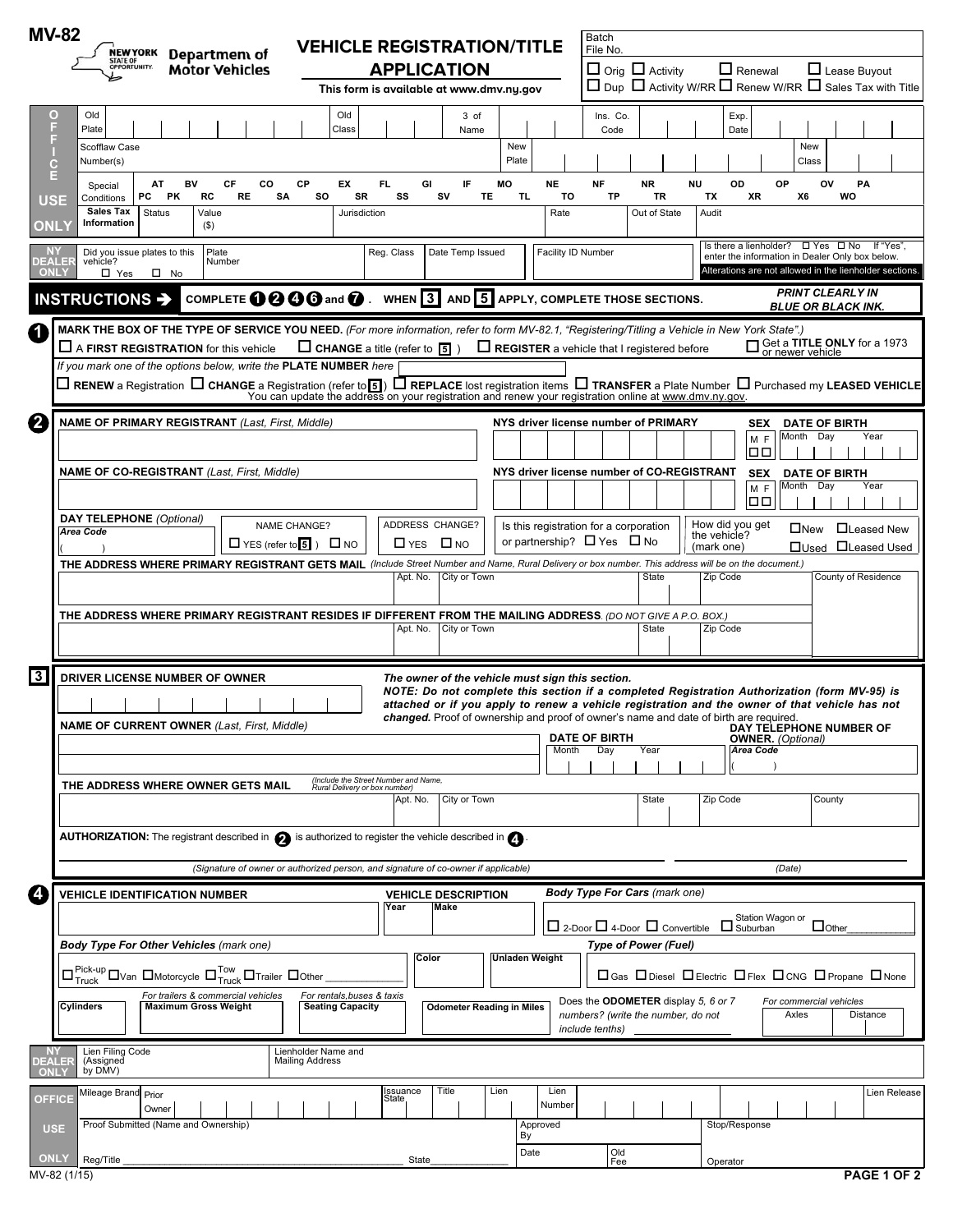| <b>MV-82</b>                                                                       |                                                                                                                                                                                    |                                                                                                       |                                                                                                                     |                                  |                  |                           | Batch                                                                                                                                                                                          |                                                    |                                                                                       |                                                                                                                                                                       |              |
|------------------------------------------------------------------------------------|------------------------------------------------------------------------------------------------------------------------------------------------------------------------------------|-------------------------------------------------------------------------------------------------------|---------------------------------------------------------------------------------------------------------------------|----------------------------------|------------------|---------------------------|------------------------------------------------------------------------------------------------------------------------------------------------------------------------------------------------|----------------------------------------------------|---------------------------------------------------------------------------------------|-----------------------------------------------------------------------------------------------------------------------------------------------------------------------|--------------|
|                                                                                    | <b>NEW YORK</b><br>Department of<br>STATE OF<br>OPPORTUNITY.                                                                                                                       | <b>VEHICLE REGISTRATION/TITLE</b>                                                                     |                                                                                                                     |                                  |                  |                           | File No.                                                                                                                                                                                       |                                                    |                                                                                       |                                                                                                                                                                       |              |
|                                                                                    | <b>Motor Vehicles</b>                                                                                                                                                              |                                                                                                       | <b>APPLICATION</b><br>This form is available at www.dmv.ny.gov                                                      |                                  |                  |                           |                                                                                                                                                                                                | $\Box$ Orig $\Box$ Activity                        | $\Box$ Renewal                                                                        | Lease Buyout<br>$\Box$ Dup $\Box$ Activity W/RR $\Box$ Renew W/RR $\Box$ Sales Tax with Title                                                                         |              |
| о                                                                                  | Old                                                                                                                                                                                | Old                                                                                                   |                                                                                                                     | 3 of                             |                  |                           | Ins. Co.                                                                                                                                                                                       |                                                    | Exp.                                                                                  |                                                                                                                                                                       |              |
| F                                                                                  | Plate                                                                                                                                                                              | Class                                                                                                 |                                                                                                                     | Name                             |                  |                           | Code                                                                                                                                                                                           |                                                    | Date                                                                                  |                                                                                                                                                                       |              |
| $\mathbf{C}$                                                                       | Scofflaw Case<br>Number(s)                                                                                                                                                         |                                                                                                       |                                                                                                                     |                                  | New<br>Plate     |                           |                                                                                                                                                                                                |                                                    |                                                                                       | New<br>Class                                                                                                                                                          |              |
| E<br><b>USE</b>                                                                    | BV<br>CF<br>CO<br>AT<br>Special<br>SA<br>PC<br>PK<br>RC<br><b>RE</b><br>Conditions                                                                                                 | CP<br>EX<br>so<br>SR                                                                                  | FL.<br>GI<br>SS                                                                                                     | IF<br>sv<br>TE                   | <b>MO</b><br>TL. | <b>NE</b><br>TO           | <b>NF</b><br>TP                                                                                                                                                                                | <b>NR</b><br>TR                                    | <b>NU</b><br>OD<br>TX<br>XR                                                           | OP<br>ov<br>PA<br>X6<br>WO                                                                                                                                            |              |
| ONL\                                                                               | <b>Sales Tax</b><br><b>Status</b><br>Value<br>Information<br>$($ \$)                                                                                                               | Jurisdiction                                                                                          |                                                                                                                     |                                  |                  | Rate                      |                                                                                                                                                                                                | Out of State                                       | Audit                                                                                 |                                                                                                                                                                       |              |
| ΝY<br><b>DEALER</b><br><b>ONLY</b>                                                 | Did you issue plates to this<br>Plate<br>Number<br>vehicle?<br>$\Box$ Yes<br>$\square$ No                                                                                          |                                                                                                       | Reg. Class                                                                                                          | Date Temp Issued                 |                  | <b>Facility ID Number</b> |                                                                                                                                                                                                |                                                    |                                                                                       | Is there a lienholder? $\Box$ Yes $\Box$ No<br>lf "Yes"<br>enter the information in Dealer Only box below.<br>Alterations are not allowed in the lienholder sections. |              |
|                                                                                    | COMPLETE 1000 and 0. WHEN 3 AND 5 APPLY, COMPLETE THOSE SECTIONS.<br>INSTRUCTIONS >                                                                                                |                                                                                                       |                                                                                                                     |                                  |                  |                           |                                                                                                                                                                                                |                                                    |                                                                                       | <b>PRINT CLEARLY IN</b><br><b>BLUE OR BLACK INK.</b>                                                                                                                  |              |
| 4                                                                                  | MARK THE BOX OF THE TYPE OF SERVICE YOU NEED. (For more information, refer to form MV-82.1, "Registering/Titling a Vehicle in New York State".)                                    |                                                                                                       |                                                                                                                     |                                  |                  |                           |                                                                                                                                                                                                |                                                    |                                                                                       |                                                                                                                                                                       |              |
|                                                                                    | $\Box$ A FIRST REGISTRATION for this vehicle<br>If you mark one of the options below, write the PLATE NUMBER here                                                                  | $\Box$ CHANGE a title (refer to $\boxed{5}$ )                                                         |                                                                                                                     |                                  |                  |                           |                                                                                                                                                                                                | $\Box$ REGISTER a vehicle that I registered before |                                                                                       | Get a TITLE ONLY for a 1973<br>or newer vehicle                                                                                                                       |              |
|                                                                                    | $\Box$ RENEW a Registration $\Box$ CHANGE a Registration (refer to $_5$ ) $\Box$ REPLACE lost registration items $\Box$ TRANSFER a Plate Number $\Box$ Purchased my LEASED VEHICLE |                                                                                                       |                                                                                                                     |                                  |                  |                           |                                                                                                                                                                                                |                                                    |                                                                                       |                                                                                                                                                                       |              |
|                                                                                    |                                                                                                                                                                                    | You can update the address on your registration and renew your registration online at www.dmv.ny.gov. |                                                                                                                     |                                  |                  |                           |                                                                                                                                                                                                |                                                    |                                                                                       |                                                                                                                                                                       |              |
| 2                                                                                  | <b>NAME OF PRIMARY REGISTRANT (Last, First, Middle)</b>                                                                                                                            |                                                                                                       |                                                                                                                     |                                  |                  |                           |                                                                                                                                                                                                | NYS driver license number of PRIMARY               | <b>SEX</b><br>MF                                                                      | <b>DATE OF BIRTH</b><br>Month Day<br>Year                                                                                                                             |              |
|                                                                                    |                                                                                                                                                                                    |                                                                                                       |                                                                                                                     |                                  |                  |                           |                                                                                                                                                                                                |                                                    | 00                                                                                    |                                                                                                                                                                       |              |
|                                                                                    | NAME OF CO-REGISTRANT (Last, First, Middle)                                                                                                                                        |                                                                                                       |                                                                                                                     |                                  |                  |                           | NYS driver license number of CO-REGISTRANT                                                                                                                                                     | <b>SEX</b><br>M <sub>F</sub>                       | <b>DATE OF BIRTH</b><br>Month Day<br>Year                                             |                                                                                                                                                                       |              |
|                                                                                    |                                                                                                                                                                                    |                                                                                                       |                                                                                                                     |                                  |                  |                           |                                                                                                                                                                                                |                                                    | 100                                                                                   |                                                                                                                                                                       |              |
|                                                                                    | <b>DAY TELEPHONE</b> (Optional)<br><b>NAME CHANGE?</b><br><b>Area Code</b><br>$\Box$ YES (refer to $\overline{5}$ ) $\Box$ NO                                                      |                                                                                                       | ADDRESS CHANGE?<br>$\Box$ YES $\Box$ NO                                                                             |                                  |                  |                           | Is this registration for a corporation<br>or partnership? $\Box$ Yes $\Box$ No                                                                                                                 |                                                    | How did you get<br>the vehicle?<br>(mark one)                                         | $\Box$ New<br>□Leased New<br>□Used □Leased Used                                                                                                                       |              |
|                                                                                    | THE ADDRESS WHERE PRIMARY REGISTRANT GETS MAIL (Include Street Number and Name, Rural Delivery or box number. This address will be on the document.)                               |                                                                                                       |                                                                                                                     |                                  |                  |                           |                                                                                                                                                                                                |                                                    |                                                                                       |                                                                                                                                                                       |              |
|                                                                                    |                                                                                                                                                                                    |                                                                                                       | Apt. No.                                                                                                            | City or Town                     |                  |                           |                                                                                                                                                                                                | <b>State</b>                                       | Zip Code                                                                              | County of Residence                                                                                                                                                   |              |
|                                                                                    | THE ADDRESS WHERE PRIMARY REGISTRANT RESIDES IF DIFFERENT FROM THE MAILING ADDRESS. (DO NOT GIVE A P.O. BOX.)                                                                      |                                                                                                       |                                                                                                                     |                                  |                  |                           |                                                                                                                                                                                                |                                                    |                                                                                       |                                                                                                                                                                       |              |
|                                                                                    |                                                                                                                                                                                    |                                                                                                       | Apt. No.                                                                                                            | City or Town                     |                  |                           |                                                                                                                                                                                                | State                                              | Zip Code                                                                              |                                                                                                                                                                       |              |
| კ                                                                                  |                                                                                                                                                                                    |                                                                                                       |                                                                                                                     |                                  |                  |                           |                                                                                                                                                                                                |                                                    |                                                                                       |                                                                                                                                                                       |              |
| DRIVER LICENSE NUMBER OF OWNER<br>The owner of the vehicle must sign this section. |                                                                                                                                                                                    |                                                                                                       |                                                                                                                     |                                  |                  |                           | NOTE: Do not complete this section if a completed Registration Authorization (form MV-95) is<br>attached or if you apply to renew a vehicle registration and the owner of that vehicle has not |                                                    |                                                                                       |                                                                                                                                                                       |              |
|                                                                                    | <b>NAME OF CURRENT OWNER (Last, First, Middle)</b>                                                                                                                                 |                                                                                                       |                                                                                                                     |                                  |                  |                           |                                                                                                                                                                                                |                                                    | changed. Proof of ownership and proof of owner's name and date of birth are required. |                                                                                                                                                                       |              |
|                                                                                    |                                                                                                                                                                                    |                                                                                                       |                                                                                                                     |                                  |                  |                           | <b>DATE OF BIRTH</b>                                                                                                                                                                           |                                                    |                                                                                       | DAY TELEPHONE NUMBER OF<br><b>OWNER.</b> (Optional)                                                                                                                   |              |
|                                                                                    |                                                                                                                                                                                    |                                                                                                       |                                                                                                                     |                                  |                  | Month                     | Day                                                                                                                                                                                            | Year                                               | Area Code                                                                             |                                                                                                                                                                       |              |
|                                                                                    | THE ADDRESS WHERE OWNER GETS MAIL                                                                                                                                                  | (Include the Street Number and Name,<br>Rural Delivery or box number)                                 |                                                                                                                     |                                  |                  |                           |                                                                                                                                                                                                |                                                    |                                                                                       |                                                                                                                                                                       |              |
|                                                                                    |                                                                                                                                                                                    |                                                                                                       | Apt. No.                                                                                                            | City or Town                     |                  |                           |                                                                                                                                                                                                | State                                              | Zip Code                                                                              | County                                                                                                                                                                |              |
|                                                                                    | AUTHORIZATION: The registrant described in $\bigcirc$ is authorized to register the vehicle described in $\bigcirc$                                                                |                                                                                                       |                                                                                                                     |                                  |                  |                           |                                                                                                                                                                                                |                                                    |                                                                                       |                                                                                                                                                                       |              |
|                                                                                    | (Signature of owner or authorized person, and signature of co-owner if applicable)                                                                                                 |                                                                                                       |                                                                                                                     |                                  |                  |                           |                                                                                                                                                                                                |                                                    |                                                                                       | (Date)                                                                                                                                                                |              |
| Ŀ.                                                                                 | <b>VEHICLE IDENTIFICATION NUMBER</b>                                                                                                                                               |                                                                                                       |                                                                                                                     | <b>VEHICLE DESCRIPTION</b>       |                  |                           |                                                                                                                                                                                                | <b>Body Type For Cars (mark one)</b>               |                                                                                       |                                                                                                                                                                       |              |
|                                                                                    |                                                                                                                                                                                    |                                                                                                       | Year                                                                                                                | Make                             |                  |                           |                                                                                                                                                                                                |                                                    | $\Box$ Suburban                                                                       | Station Wagon or<br>$\Box$ Other                                                                                                                                      |              |
|                                                                                    | <b>Body Type For Other Vehicles (mark one)</b>                                                                                                                                     |                                                                                                       | $\Box$ 2-Door $\Box$ 4-Door $\Box$ Convertible<br><b>Type of Power (Fuel)</b>                                       |                                  |                  |                           |                                                                                                                                                                                                |                                                    |                                                                                       |                                                                                                                                                                       |              |
|                                                                                    | $\square_{\text{Truck}}^{\text{Pick-up}}\square$ Van $\square$ Motorcycle $\square_{\text{Truck}}^{\text{Tow}}\square_{\text{Trailer}}\square_{\text{Other}}$                      | Color                                                                                                 | <b>Unladen Weight</b><br>$\Box$ Gas $\Box$ Diesel $\Box$ Electric $\Box$ Flex $\Box$ CNG $\Box$ Propane $\Box$ None |                                  |                  |                           |                                                                                                                                                                                                |                                                    |                                                                                       |                                                                                                                                                                       |              |
|                                                                                    | For trailers & commercial vehicles                                                                                                                                                 | For rentals, buses & taxis                                                                            |                                                                                                                     |                                  |                  |                           |                                                                                                                                                                                                | Does the <b>ODOMETER</b> display 5, 6 or 7         |                                                                                       |                                                                                                                                                                       |              |
|                                                                                    | Cylinders<br><b>Maximum Gross Weight</b>                                                                                                                                           | <b>Seating Capacity</b>                                                                               |                                                                                                                     | <b>Odometer Reading in Miles</b> |                  |                           | include tenths)                                                                                                                                                                                | numbers? (write the number, do not                 |                                                                                       | For commercial vehicles<br>Distance<br>Axles                                                                                                                          |              |
| <b>DEALER</b>                                                                      | Lien Filing Code<br>(Assigned                                                                                                                                                      | Lienholder Name and<br><b>Mailing Address</b>                                                         |                                                                                                                     |                                  |                  |                           |                                                                                                                                                                                                |                                                    |                                                                                       |                                                                                                                                                                       |              |
| <b>ONL</b>                                                                         | by DMV)                                                                                                                                                                            |                                                                                                       |                                                                                                                     |                                  |                  |                           |                                                                                                                                                                                                |                                                    |                                                                                       |                                                                                                                                                                       |              |
| <b>OFFICE</b>                                                                      | Mileage Brand Prior<br>Owner                                                                                                                                                       |                                                                                                       | Issuance<br>State,                                                                                                  | Title                            | Lien             | Lien<br>Number            |                                                                                                                                                                                                |                                                    |                                                                                       |                                                                                                                                                                       | Lien Release |
| <b>USE</b>                                                                         | Proof Submitted (Name and Ownership)                                                                                                                                               |                                                                                                       |                                                                                                                     |                                  | By               | Approved                  |                                                                                                                                                                                                |                                                    | Stop/Response                                                                         |                                                                                                                                                                       |              |
| <b>ONLY</b>                                                                        |                                                                                                                                                                                    |                                                                                                       |                                                                                                                     |                                  | Date             |                           | Old                                                                                                                                                                                            |                                                    |                                                                                       |                                                                                                                                                                       |              |
|                                                                                    | Reg/Title<br>MV-82 (1/15)                                                                                                                                                          |                                                                                                       | State                                                                                                               |                                  |                  |                           | Fee                                                                                                                                                                                            |                                                    | Operator                                                                              | PAGE 1 OF 2                                                                                                                                                           |              |